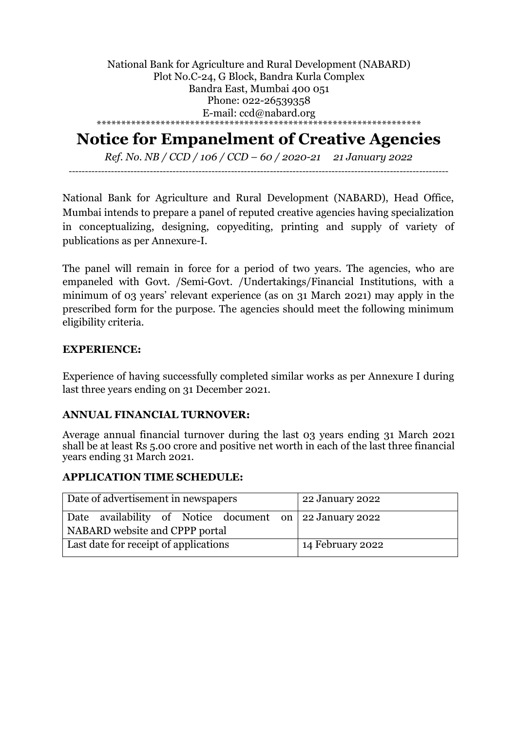National Bank for Agriculture and Rural Development (NABARD) Plot No.C-24, G Block, Bandra Kurla Complex Bandra East, Mumbai 400 051 Phone: 022-26539358 E-mail: ccd@nabard.org \*\*\*\*\*\*\*\*\*\*\*\*\*\*\*\*\*\*\*\*\*\*\*\*\*\*\*\*\*\*\*\*\*\*\*\*\*\*\*\*\*\*\*\*\*\*\*\*\*\*\*\*\*\*\*\*\*\*\*\*\*\*\*\*\*\*

# **Notice for Empanelment of Creative Agencies**

*Ref. No. NB / CCD / 106 / CCD – 60 / 2020-21 21 January 2022* ---------------------------------------------------------------------------------------------------------------------

National Bank for Agriculture and Rural Development (NABARD), Head Office, Mumbai intends to prepare a panel of reputed creative agencies having specialization in conceptualizing, designing, copyediting, printing and supply of variety of publications as per Annexure-I.

The panel will remain in force for a period of two years. The agencies, who are empaneled with Govt. /Semi-Govt. /Undertakings/Financial Institutions, with a minimum of 03 years' relevant experience (as on 31 March 2021) may apply in the prescribed form for the purpose. The agencies should meet the following minimum eligibility criteria.

#### **EXPERIENCE:**

Experience of having successfully completed similar works as per Annexure I during last three years ending on 31 December 2021.

#### **ANNUAL FINANCIAL TURNOVER:**

Average annual financial turnover during the last 03 years ending 31 March 2021 shall be at least Rs 5.00 crore and positive net worth in each of the last three financial years ending 31 March 2021.

### **APPLICATION TIME SCHEDULE:**

| Date of advertisement in newspapers                                                       | 22 January 2022  |
|-------------------------------------------------------------------------------------------|------------------|
| Date availability of Notice document on 22 January 2022<br>NABARD website and CPPP portal |                  |
| Last date for receipt of applications                                                     | 14 February 2022 |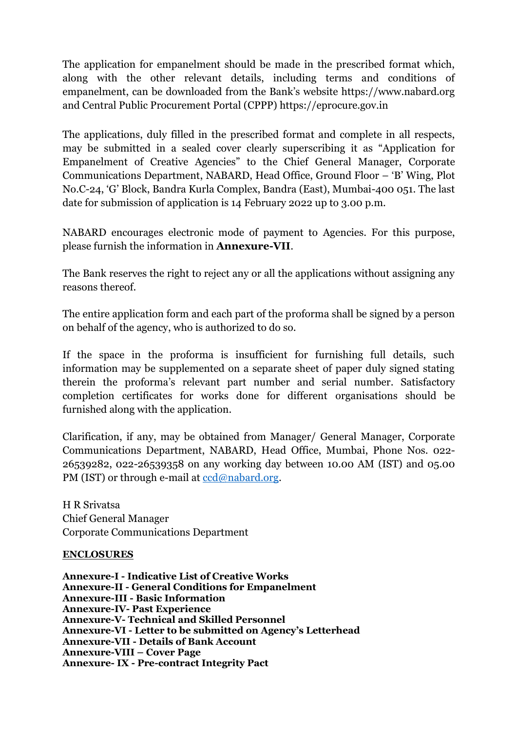The application for empanelment should be made in the prescribed format which, along with the other relevant details, including terms and conditions of empanelment, can be downloaded from the Bank's website https://www.nabard.org and Central Public Procurement Portal (CPPP) https://eprocure.gov.in

The applications, duly filled in the prescribed format and complete in all respects, may be submitted in a sealed cover clearly superscribing it as "Application for Empanelment of Creative Agencies" to the Chief General Manager, Corporate Communications Department, NABARD, Head Office, Ground Floor – 'B' Wing, Plot No.C-24, 'G' Block, Bandra Kurla Complex, Bandra (East), Mumbai-400 051. The last date for submission of application is 14 February 2022 up to 3.00 p.m.

NABARD encourages electronic mode of payment to Agencies. For this purpose, please furnish the information in **Annexure-VII**.

The Bank reserves the right to reject any or all the applications without assigning any reasons thereof.

The entire application form and each part of the proforma shall be signed by a person on behalf of the agency, who is authorized to do so.

If the space in the proforma is insufficient for furnishing full details, such information may be supplemented on a separate sheet of paper duly signed stating therein the proforma's relevant part number and serial number. Satisfactory completion certificates for works done for different organisations should be furnished along with the application.

Clarification, if any, may be obtained from Manager/ General Manager, Corporate Communications Department, NABARD, Head Office, Mumbai, Phone Nos. 022- 26539282, 022-26539358 on any working day between 10.00 AM (IST) and 05.00 PM (IST) or through e-mail at [ccd@nabard.org.](mailto:ccd@nabard.org)

H R Srivatsa Chief General Manager Corporate Communications Department

#### **ENCLOSURES**

**Annexure-I - Indicative List of Creative Works Annexure-II - General Conditions for Empanelment Annexure-III - Basic Information Annexure-IV- Past Experience Annexure-V- Technical and Skilled Personnel Annexure-VI - Letter to be submitted on Agency's Letterhead Annexure-VII - Details of Bank Account Annexure-VIII – Cover Page Annexure- IX - Pre-contract Integrity Pact**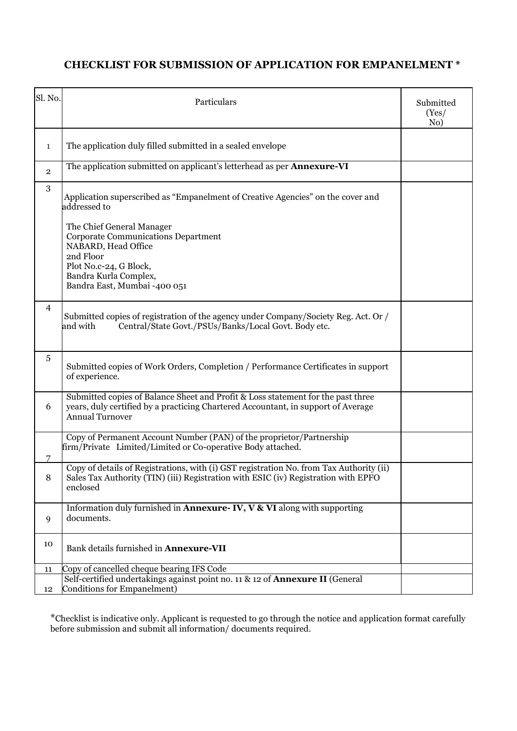## **CHECKLIST FOR SUBMISSION OF APPLICATION FOR EMPANELMENT \***

| Sl. No.        | Particulars                                                                                                                                                                                     | Submitted<br>(Yes)<br>No) |
|----------------|-------------------------------------------------------------------------------------------------------------------------------------------------------------------------------------------------|---------------------------|
| 1              | The application duly filled submitted in a sealed envelope                                                                                                                                      |                           |
| $\overline{2}$ | The application submitted on applicant's letterhead as per <b>Annexure-VI</b>                                                                                                                   |                           |
| 3              | Application superscribed as "Empanelment of Creative Agencies" on the cover and<br>addressed to                                                                                                 |                           |
|                | The Chief General Manager<br><b>Corporate Communications Department</b><br>NABARD, Head Office<br>2nd Floor<br>Plot No.c-24, G Block,<br>Bandra Kurla Complex,<br>Bandra East, Mumbai -400 051  |                           |
| $\overline{4}$ | Submitted copies of registration of the agency under Company/Society Reg. Act. Or /<br>Central/State Govt./PSUs/Banks/Local Govt. Body etc.<br>and with                                         |                           |
| 5              | Submitted copies of Work Orders, Completion / Performance Certificates in support<br>of experience.                                                                                             |                           |
| 6              | Submitted copies of Balance Sheet and Profit & Loss statement for the past three<br>years, duly certified by a practicing Chartered Accountant, in support of Average<br><b>Annual Turnover</b> |                           |
|                | Copy of Permanent Account Number (PAN) of the proprietor/Partnership<br>firm/Private Limited/Limited or Co-operative Body attached.                                                             |                           |
| 8              | Copy of details of Registrations, with (i) GST registration No. from Tax Authority (ii)<br>Sales Tax Authority (TIN) (iii) Registration with ESIC (iv) Registration with EPFO<br>enclosed       |                           |
| 9              | Information duly furnished in <b>Annexure-IV, V &amp; VI</b> along with supporting<br>documents.                                                                                                |                           |
| 10             | Bank details furnished in Annexure-VII                                                                                                                                                          |                           |
| 11             | Copy of cancelled cheque bearing IFS Code                                                                                                                                                       |                           |
| 12             | Self-certified undertakings against point no. 11 & 12 of Annexure II (General<br>Conditions for Empanelment)                                                                                    |                           |

\*Checklist is indicative only. Applicant is requested to go through the notice and application format carefully before submission and submit all information/ documents required.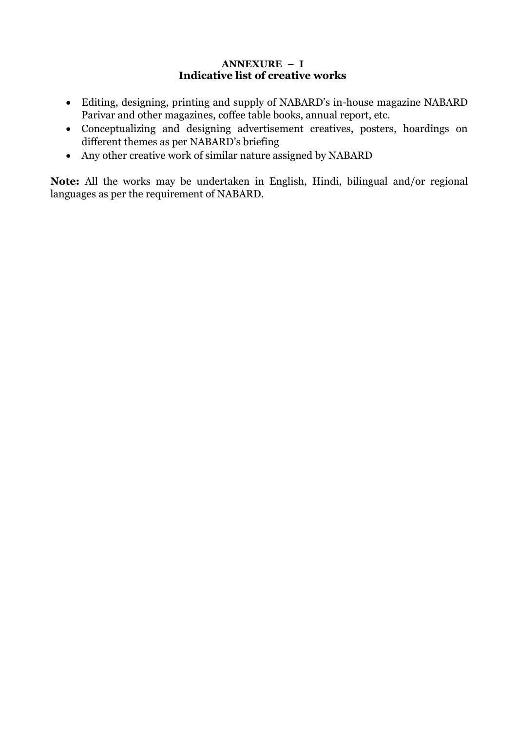#### **ANNEXURE – I Indicative list of creative works**

- Editing, designing, printing and supply of NABARD's in-house magazine NABARD Parivar and other magazines, coffee table books, annual report, etc.
- Conceptualizing and designing advertisement creatives, posters, hoardings on different themes as per NABARD's briefing
- Any other creative work of similar nature assigned by NABARD

**Note:** All the works may be undertaken in English, Hindi, bilingual and/or regional languages as per the requirement of NABARD.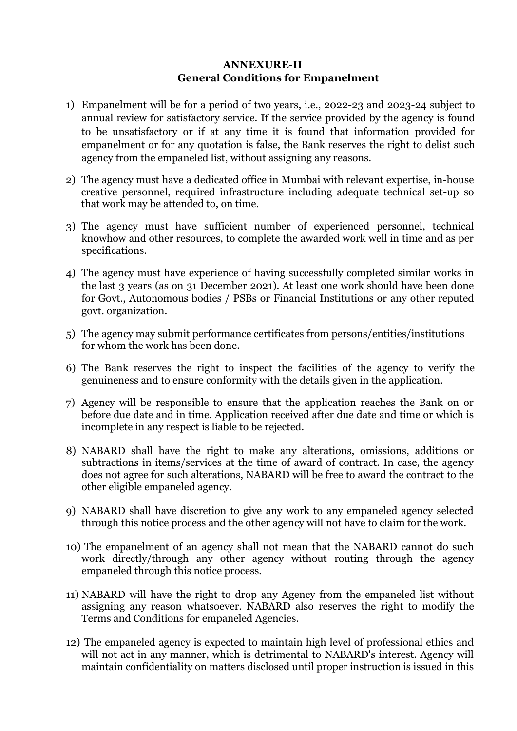## **ANNEXURE-II General Conditions for Empanelment**

- 1) Empanelment will be for a period of two years, i.e., 2022-23 and 2023-24 subject to annual review for satisfactory service. If the service provided by the agency is found to be unsatisfactory or if at any time it is found that information provided for empanelment or for any quotation is false, the Bank reserves the right to delist such agency from the empaneled list, without assigning any reasons.
- 2) The agency must have a dedicated office in Mumbai with relevant expertise, in-house creative personnel, required infrastructure including adequate technical set-up so that work may be attended to, on time.
- 3) The agency must have sufficient number of experienced personnel, technical knowhow and other resources, to complete the awarded work well in time and as per specifications.
- 4) The agency must have experience of having successfully completed similar works in the last 3 years (as on 31 December 2021). At least one work should have been done for Govt., Autonomous bodies / PSBs or Financial Institutions or any other reputed govt. organization.
- 5) The agency may submit performance certificates from persons/entities/institutions for whom the work has been done.
- 6) The Bank reserves the right to inspect the facilities of the agency to verify the genuineness and to ensure conformity with the details given in the application.
- 7) Agency will be responsible to ensure that the application reaches the Bank on or before due date and in time. Application received after due date and time or which is incomplete in any respect is liable to be rejected.
- 8) NABARD shall have the right to make any alterations, omissions, additions or subtractions in items/services at the time of award of contract. In case, the agency does not agree for such alterations, NABARD will be free to award the contract to the other eligible empaneled agency.
- 9) NABARD shall have discretion to give any work to any empaneled agency selected through this notice process and the other agency will not have to claim for the work.
- 10) The empanelment of an agency shall not mean that the NABARD cannot do such work directly/through any other agency without routing through the agency empaneled through this notice process.
- 11) NABARD will have the right to drop any Agency from the empaneled list without assigning any reason whatsoever. NABARD also reserves the right to modify the Terms and Conditions for empaneled Agencies.
- 12) The empaneled agency is expected to maintain high level of professional ethics and will not act in any manner, which is detrimental to NABARD's interest. Agency will maintain confidentiality on matters disclosed until proper instruction is issued in this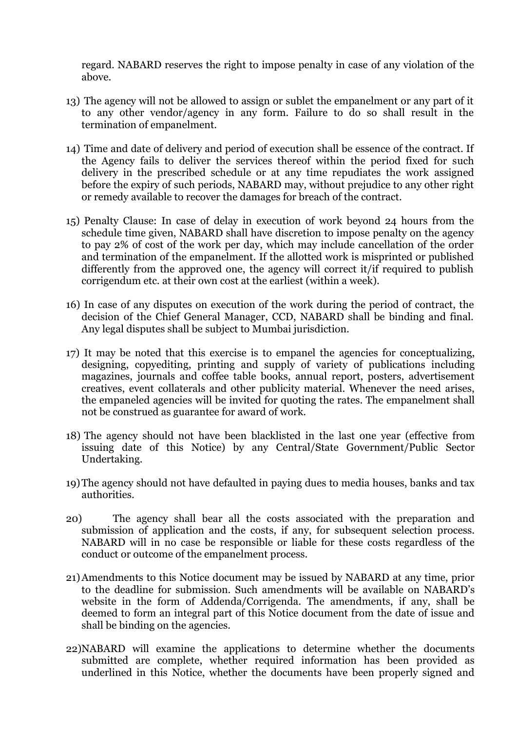regard. NABARD reserves the right to impose penalty in case of any violation of the above.

- 13) The agency will not be allowed to assign or sublet the empanelment or any part of it to any other vendor/agency in any form. Failure to do so shall result in the termination of empanelment.
- 14) Time and date of delivery and period of execution shall be essence of the contract. If the Agency fails to deliver the services thereof within the period fixed for such delivery in the prescribed schedule or at any time repudiates the work assigned before the expiry of such periods, NABARD may, without prejudice to any other right or remedy available to recover the damages for breach of the contract.
- 15) Penalty Clause: In case of delay in execution of work beyond 24 hours from the schedule time given, NABARD shall have discretion to impose penalty on the agency to pay 2% of cost of the work per day, which may include cancellation of the order and termination of the empanelment. If the allotted work is misprinted or published differently from the approved one, the agency will correct it/if required to publish corrigendum etc. at their own cost at the earliest (within a week).
- 16) In case of any disputes on execution of the work during the period of contract, the decision of the Chief General Manager, CCD, NABARD shall be binding and final. Any legal disputes shall be subject to Mumbai jurisdiction.
- 17) It may be noted that this exercise is to empanel the agencies for conceptualizing, designing, copyediting, printing and supply of variety of publications including magazines, journals and coffee table books, annual report, posters, advertisement creatives, event collaterals and other publicity material. Whenever the need arises, the empaneled agencies will be invited for quoting the rates. The empanelment shall not be construed as guarantee for award of work.
- 18) The agency should not have been blacklisted in the last one year (effective from issuing date of this Notice) by any Central/State Government/Public Sector Undertaking.
- 19)The agency should not have defaulted in paying dues to media houses, banks and tax authorities.
- 20) The agency shall bear all the costs associated with the preparation and submission of application and the costs, if any, for subsequent selection process. NABARD will in no case be responsible or liable for these costs regardless of the conduct or outcome of the empanelment process.
- 21)Amendments to this Notice document may be issued by NABARD at any time, prior to the deadline for submission. Such amendments will be available on NABARD's website in the form of Addenda/Corrigenda. The amendments, if any, shall be deemed to form an integral part of this Notice document from the date of issue and shall be binding on the agencies.
- 22)NABARD will examine the applications to determine whether the documents submitted are complete, whether required information has been provided as underlined in this Notice, whether the documents have been properly signed and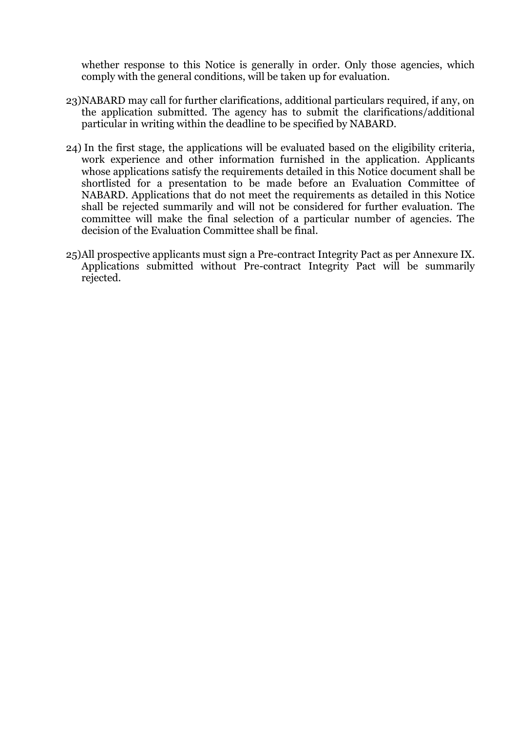whether response to this Notice is generally in order. Only those agencies, which comply with the general conditions, will be taken up for evaluation.

- 23)NABARD may call for further clarifications, additional particulars required, if any, on the application submitted. The agency has to submit the clarifications/additional particular in writing within the deadline to be specified by NABARD.
- 24) In the first stage, the applications will be evaluated based on the eligibility criteria, work experience and other information furnished in the application. Applicants whose applications satisfy the requirements detailed in this Notice document shall be shortlisted for a presentation to be made before an Evaluation Committee of NABARD. Applications that do not meet the requirements as detailed in this Notice shall be rejected summarily and will not be considered for further evaluation. The committee will make the final selection of a particular number of agencies. The decision of the Evaluation Committee shall be final.
- 25)All prospective applicants must sign a Pre-contract Integrity Pact as per Annexure IX. Applications submitted without Pre-contract Integrity Pact will be summarily rejected.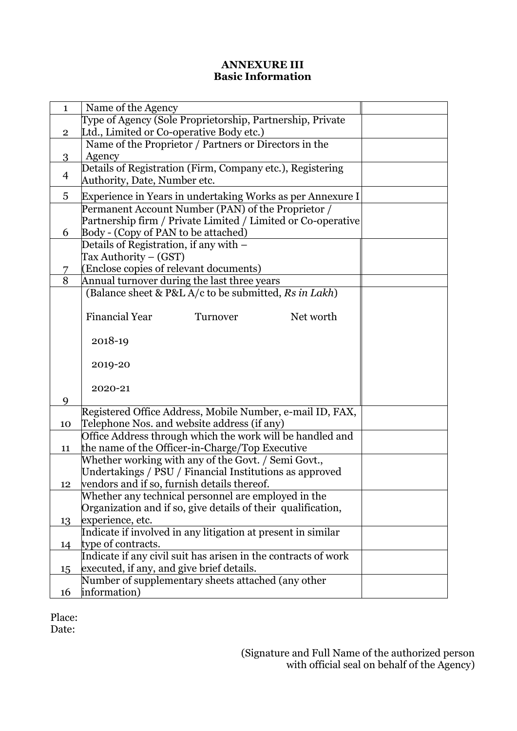### **ANNEXURE III Basic Information**

| $\mathbf{1}$   | Name of the Agency                                             |  |  |  |  |  |  |
|----------------|----------------------------------------------------------------|--|--|--|--|--|--|
|                | Type of Agency (Sole Proprietorship, Partnership, Private      |  |  |  |  |  |  |
| $\overline{2}$ | Ltd., Limited or Co-operative Body etc.)                       |  |  |  |  |  |  |
|                | Name of the Proprietor / Partners or Directors in the          |  |  |  |  |  |  |
| 3              | Agency                                                         |  |  |  |  |  |  |
|                | Details of Registration (Firm, Company etc.), Registering      |  |  |  |  |  |  |
| 4              | Authority, Date, Number etc.                                   |  |  |  |  |  |  |
| 5              | Experience in Years in undertaking Works as per Annexure I     |  |  |  |  |  |  |
|                | Permanent Account Number (PAN) of the Proprietor /             |  |  |  |  |  |  |
|                | Partnership firm / Private Limited / Limited or Co-operative   |  |  |  |  |  |  |
| 6              | Body - (Copy of PAN to be attached)                            |  |  |  |  |  |  |
|                | Details of Registration, if any with -                         |  |  |  |  |  |  |
|                | Tax Authority – (GST)                                          |  |  |  |  |  |  |
| 7              | (Enclose copies of relevant documents)                         |  |  |  |  |  |  |
| 8              | Annual turnover during the last three years                    |  |  |  |  |  |  |
|                | (Balance sheet & P&L A/c to be submitted, Rs in Lakh)          |  |  |  |  |  |  |
|                |                                                                |  |  |  |  |  |  |
|                | <b>Financial Year</b><br>Net worth<br>Turnover                 |  |  |  |  |  |  |
|                |                                                                |  |  |  |  |  |  |
|                | 2018-19                                                        |  |  |  |  |  |  |
|                |                                                                |  |  |  |  |  |  |
|                | 2019-20                                                        |  |  |  |  |  |  |
|                |                                                                |  |  |  |  |  |  |
|                | 2020-21                                                        |  |  |  |  |  |  |
| 9              |                                                                |  |  |  |  |  |  |
|                | Registered Office Address, Mobile Number, e-mail ID, FAX,      |  |  |  |  |  |  |
| 10             | Telephone Nos. and website address (if any)                    |  |  |  |  |  |  |
|                | Office Address through which the work will be handled and      |  |  |  |  |  |  |
| 11             | the name of the Officer-in-Charge/Top Executive                |  |  |  |  |  |  |
|                | Whether working with any of the Govt. / Semi Govt.,            |  |  |  |  |  |  |
|                | Undertakings / PSU / Financial Institutions as approved        |  |  |  |  |  |  |
| 12             | vendors and if so, furnish details thereof.                    |  |  |  |  |  |  |
|                | Whether any technical personnel are employed in the            |  |  |  |  |  |  |
|                | Organization and if so, give details of their qualification,   |  |  |  |  |  |  |
| 13             | experience, etc.                                               |  |  |  |  |  |  |
|                | Indicate if involved in any litigation at present in similar   |  |  |  |  |  |  |
| 14             | type of contracts.                                             |  |  |  |  |  |  |
|                | Indicate if any civil suit has arisen in the contracts of work |  |  |  |  |  |  |
| 15             | executed, if any, and give brief details.                      |  |  |  |  |  |  |
|                | Number of supplementary sheets attached (any other             |  |  |  |  |  |  |
|                | information)                                                   |  |  |  |  |  |  |
| 16             |                                                                |  |  |  |  |  |  |

Place:

Date: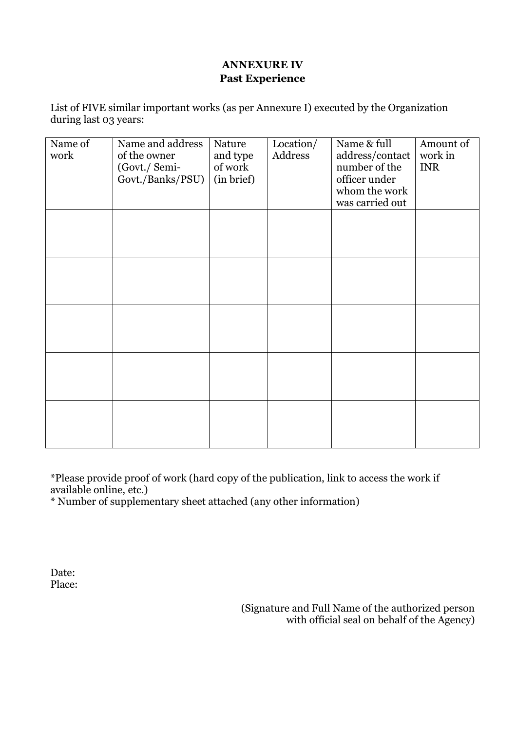## **ANNEXURE IV Past Experience**

List of FIVE similar important works (as per Annexure I) executed by the Organization during last 03 years:

| Name of | Name and address | Nature     | Location/ | Name & full     | Amount of  |
|---------|------------------|------------|-----------|-----------------|------------|
| work    | of the owner     | and type   | Address   | address/contact | work in    |
|         | (Govt./ Semi-    | of work    |           | number of the   | <b>INR</b> |
|         | Govt./Banks/PSU) | (in brief) |           | officer under   |            |
|         |                  |            |           | whom the work   |            |
|         |                  |            |           | was carried out |            |
|         |                  |            |           |                 |            |
|         |                  |            |           |                 |            |
|         |                  |            |           |                 |            |
|         |                  |            |           |                 |            |
|         |                  |            |           |                 |            |
|         |                  |            |           |                 |            |
|         |                  |            |           |                 |            |
|         |                  |            |           |                 |            |
|         |                  |            |           |                 |            |
|         |                  |            |           |                 |            |
|         |                  |            |           |                 |            |
|         |                  |            |           |                 |            |
|         |                  |            |           |                 |            |
|         |                  |            |           |                 |            |
|         |                  |            |           |                 |            |
|         |                  |            |           |                 |            |
|         |                  |            |           |                 |            |
|         |                  |            |           |                 |            |
|         |                  |            |           |                 |            |
|         |                  |            |           |                 |            |
|         |                  |            |           |                 |            |

\*Please provide proof of work (hard copy of the publication, link to access the work if available online, etc.)

\* Number of supplementary sheet attached (any other information)

Date: Place:

> (Signature and Full Name of the authorized person with official seal on behalf of the Agency)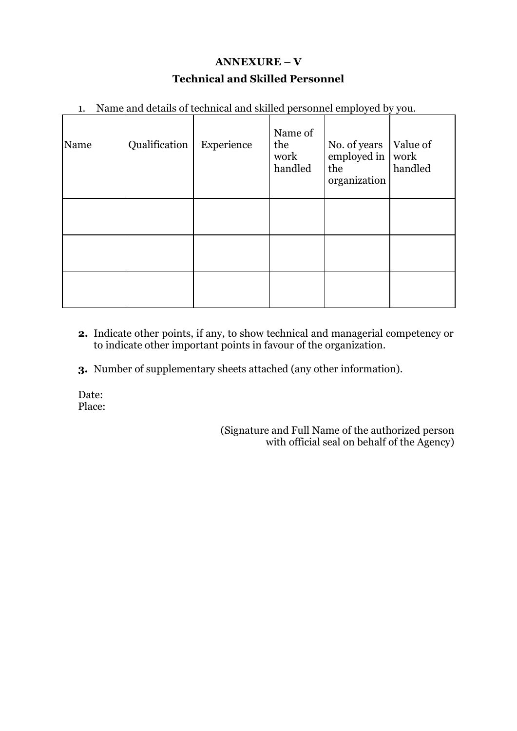## **ANNEXURE – V Technical and Skilled Personnel**

|  |  | 1. Name and details of technical and skilled personnel employed by you. |  |  |  |  |
|--|--|-------------------------------------------------------------------------|--|--|--|--|
|  |  |                                                                         |  |  |  |  |

| Name | Qualification | Experience | Name of<br>the<br>work<br>handled | No. of years<br>employed in $\vert$ work<br>the<br>organization | Value of<br>handled |
|------|---------------|------------|-----------------------------------|-----------------------------------------------------------------|---------------------|
|      |               |            |                                   |                                                                 |                     |
|      |               |            |                                   |                                                                 |                     |
|      |               |            |                                   |                                                                 |                     |

- **2.** Indicate other points, if any, to show technical and managerial competency or to indicate other important points in favour of the organization.
- **3.** Number of supplementary sheets attached (any other information).

Date: Place:

> (Signature and Full Name of the authorized person with official seal on behalf of the Agency)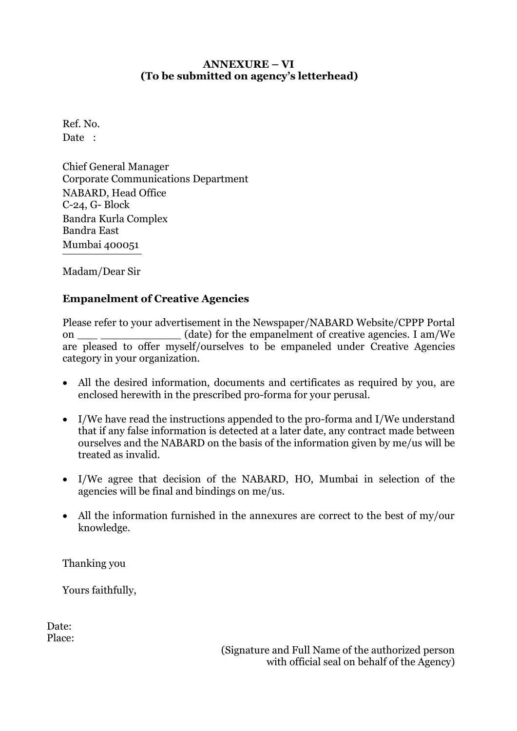#### **ANNEXURE – VI (To be submitted on agency's letterhead)**

Ref. No. Date :

Chief General Manager Corporate Communications Department NABARD, Head Office C-24, G- Block Bandra Kurla Complex Bandra East Mumbai 400051

Madam/Dear Sir

## **Empanelment of Creative Agencies**

Please refer to your advertisement in the Newspaper/NABARD Website/CPPP Portal on  $(date)$  for the empanelment of creative agencies. I am/We are pleased to offer myself/ourselves to be empaneled under Creative Agencies category in your organization.

- All the desired information, documents and certificates as required by you, are enclosed herewith in the prescribed pro-forma for your perusal.
- I/We have read the instructions appended to the pro-forma and I/We understand that if any false information is detected at a later date, any contract made between ourselves and the NABARD on the basis of the information given by me/us will be treated as invalid.
- I/We agree that decision of the NABARD, HO, Mumbai in selection of the agencies will be final and bindings on me/us.
- All the information furnished in the annexures are correct to the best of my/our knowledge.

Thanking you

Yours faithfully,

Date: Place:

(Signature and Full Name of the authorized person with official seal on behalf of the Agency)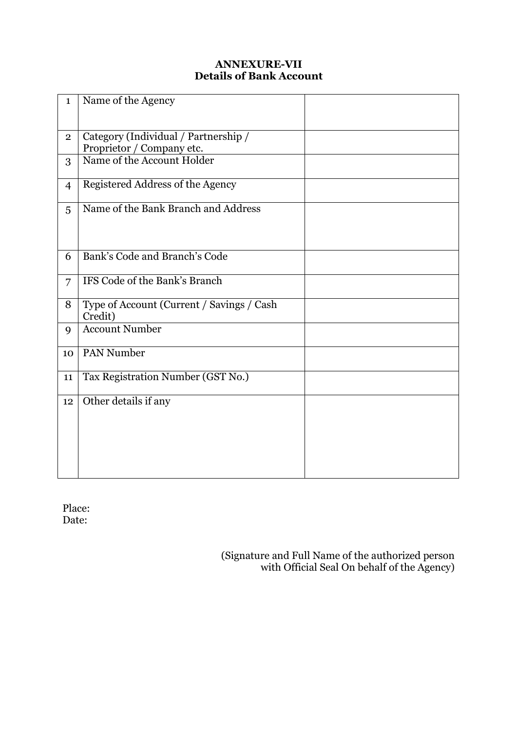## **ANNEXURE-VII Details of Bank Account**

| $\mathbf{1}$   | Name of the Agency                                                |  |
|----------------|-------------------------------------------------------------------|--|
| $\mathbf{2}$   | Category (Individual / Partnership /<br>Proprietor / Company etc. |  |
| 3              | Name of the Account Holder                                        |  |
| $\overline{4}$ | Registered Address of the Agency                                  |  |
| 5              | Name of the Bank Branch and Address                               |  |
| 6              | Bank's Code and Branch's Code                                     |  |
| 7              | IFS Code of the Bank's Branch                                     |  |
| 8              | Type of Account (Current / Savings / Cash<br>Credit)              |  |
| 9              | <b>Account Number</b>                                             |  |
| 10             | <b>PAN Number</b>                                                 |  |
| 11             | Tax Registration Number (GST No.)                                 |  |
| 12             | Other details if any                                              |  |

Place: Date:

 (Signature and Full Name of the authorized person with Official Seal On behalf of the Agency)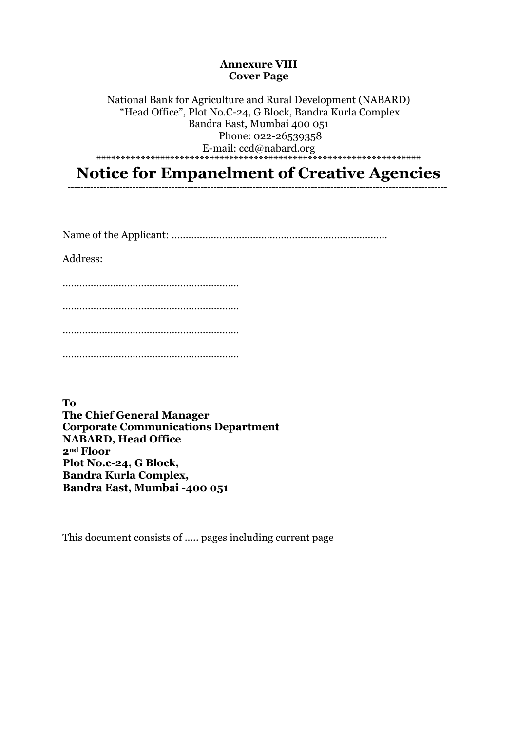#### **Annexure VIII Cover Page**

National Bank for Agriculture and Rural Development (NABARD) "Head Office", Plot No.C-24, G Block, Bandra Kurla Complex Bandra East, Mumbai 400 051 Phone: 022-26539358 E-mail: ccd@nabard.org \*\*\*\*\*\*\*\*\*\*\*\*\*\*\*\*\*\*\*\*\*\*\*\*\*\*\*\*\*\*\*\*\*\*\*\*\*\*\*\*\*\*\*\*\*\*\*\*\*\*\*\*\*\*\*\*\*\*\*\*\*\*\*\*\*\*

**Notice for Empanelment of Creative Agencies**

---------------------------------------------------------------------------------------------------------------------

Name of the Applicant: …………………………………………………………………..

Address:

……………………………………………………… ……………………………………………………… ……………………………………………………… …………………………………………………………………

**To The Chief General Manager Corporate Communications Department NABARD, Head Office 2nd Floor Plot No.c-24, G Block, Bandra Kurla Complex, Bandra East, Mumbai -400 051**

This document consists of ….. pages including current page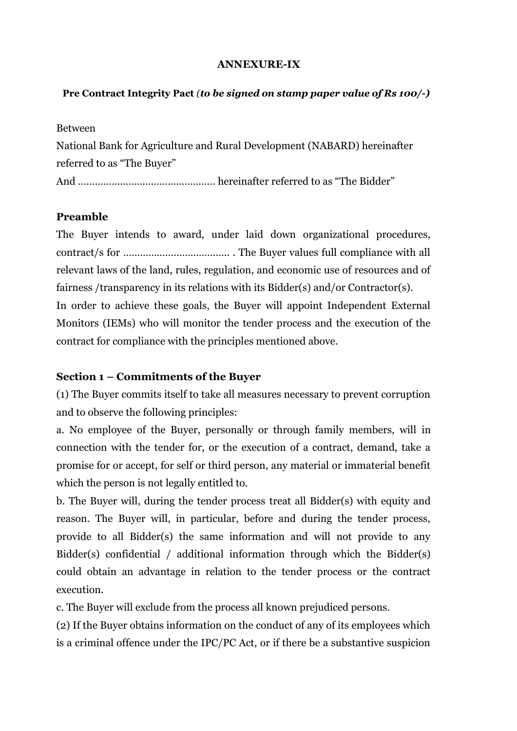#### **ANNEXURE-IX**

#### **Pre Contract Integrity Pact** *(to be signed on stamp paper value of Rs 100/-)*

Between National Bank for Agriculture and Rural Development (NABARD) hereinafter referred to as "The Buyer" And …………………………………………. hereinafter referred to as "The Bidder"

#### **Preamble**

The Buyer intends to award, under laid down organizational procedures, contract/s for ……………………………….. . The Buyer values full compliance with all relevant laws of the land, rules, regulation, and economic use of resources and of fairness /transparency in its relations with its Bidder(s) and/or Contractor(s). In order to achieve these goals, the Buyer will appoint Independent External Monitors (IEMs) who will monitor the tender process and the execution of the contract for compliance with the principles mentioned above.

#### **Section 1 – Commitments of the Buyer**

(1) The Buyer commits itself to take all measures necessary to prevent corruption and to observe the following principles:

a. No employee of the Buyer, personally or through family members, will in connection with the tender for, or the execution of a contract, demand, take a promise for or accept, for self or third person, any material or immaterial benefit which the person is not legally entitled to.

b. The Buyer will, during the tender process treat all Bidder(s) with equity and reason. The Buyer will, in particular, before and during the tender process, provide to all Bidder(s) the same information and will not provide to any Bidder(s) confidential / additional information through which the Bidder(s) could obtain an advantage in relation to the tender process or the contract execution.

c. The Buyer will exclude from the process all known prejudiced persons.

(2) If the Buyer obtains information on the conduct of any of its employees which is a criminal offence under the IPC/PC Act, or if there be a substantive suspicion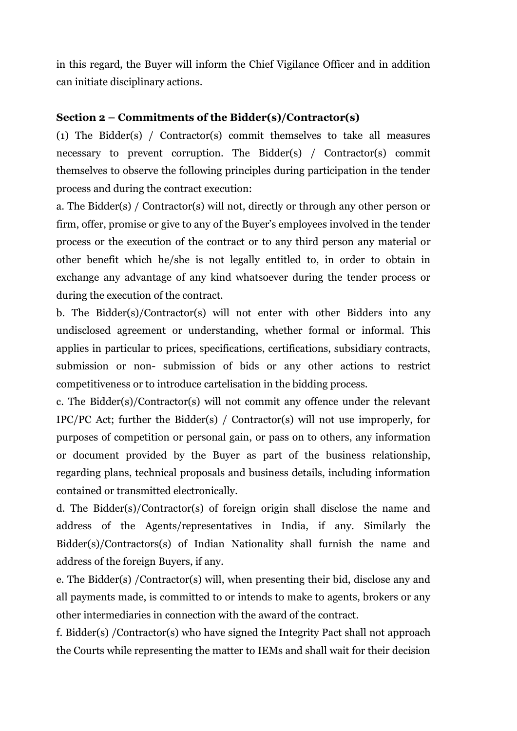in this regard, the Buyer will inform the Chief Vigilance Officer and in addition can initiate disciplinary actions.

## **Section 2 – Commitments of the Bidder(s)/Contractor(s)**

(1) The Bidder(s) / Contractor(s) commit themselves to take all measures necessary to prevent corruption. The Bidder(s) / Contractor(s) commit themselves to observe the following principles during participation in the tender process and during the contract execution:

a. The Bidder(s) / Contractor(s) will not, directly or through any other person or firm, offer, promise or give to any of the Buyer's employees involved in the tender process or the execution of the contract or to any third person any material or other benefit which he/she is not legally entitled to, in order to obtain in exchange any advantage of any kind whatsoever during the tender process or during the execution of the contract.

b. The Bidder(s)/Contractor(s) will not enter with other Bidders into any undisclosed agreement or understanding, whether formal or informal. This applies in particular to prices, specifications, certifications, subsidiary contracts, submission or non- submission of bids or any other actions to restrict competitiveness or to introduce cartelisation in the bidding process.

c. The Bidder(s)/Contractor(s) will not commit any offence under the relevant IPC/PC Act; further the Bidder(s) / Contractor(s) will not use improperly, for purposes of competition or personal gain, or pass on to others, any information or document provided by the Buyer as part of the business relationship, regarding plans, technical proposals and business details, including information contained or transmitted electronically.

d. The Bidder(s)/Contractor(s) of foreign origin shall disclose the name and address of the Agents/representatives in India, if any. Similarly the Bidder(s)/Contractors(s) of Indian Nationality shall furnish the name and address of the foreign Buyers, if any.

e. The Bidder(s) /Contractor(s) will, when presenting their bid, disclose any and all payments made, is committed to or intends to make to agents, brokers or any other intermediaries in connection with the award of the contract.

f. Bidder(s) /Contractor(s) who have signed the Integrity Pact shall not approach the Courts while representing the matter to IEMs and shall wait for their decision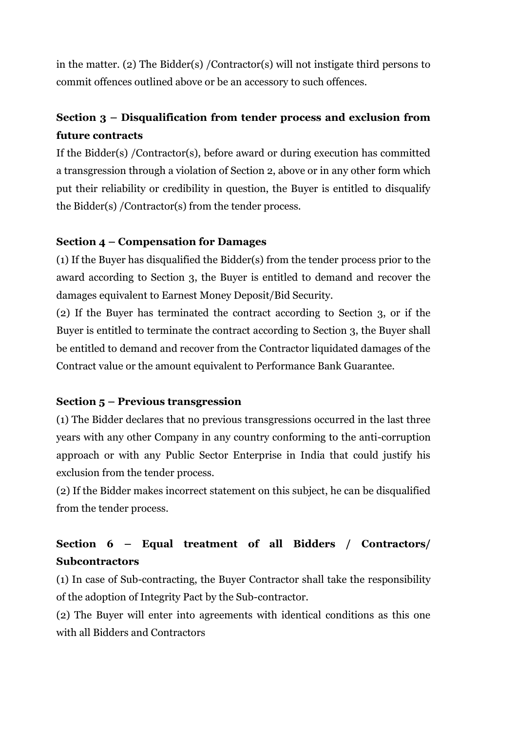in the matter. (2) The Bidder(s) /Contractor(s) will not instigate third persons to commit offences outlined above or be an accessory to such offences.

## **Section 3 – Disqualification from tender process and exclusion from future contracts**

If the Bidder(s) /Contractor(s), before award or during execution has committed a transgression through a violation of Section 2, above or in any other form which put their reliability or credibility in question, the Buyer is entitled to disqualify the Bidder(s) /Contractor(s) from the tender process.

## **Section 4 – Compensation for Damages**

(1) If the Buyer has disqualified the Bidder(s) from the tender process prior to the award according to Section 3, the Buyer is entitled to demand and recover the damages equivalent to Earnest Money Deposit/Bid Security.

(2) If the Buyer has terminated the contract according to Section 3, or if the Buyer is entitled to terminate the contract according to Section 3, the Buyer shall be entitled to demand and recover from the Contractor liquidated damages of the Contract value or the amount equivalent to Performance Bank Guarantee.

## **Section 5 – Previous transgression**

(1) The Bidder declares that no previous transgressions occurred in the last three years with any other Company in any country conforming to the anti-corruption approach or with any Public Sector Enterprise in India that could justify his exclusion from the tender process.

(2) If the Bidder makes incorrect statement on this subject, he can be disqualified from the tender process.

## **Section 6 – Equal treatment of all Bidders / Contractors/ Subcontractors**

(1) In case of Sub-contracting, the Buyer Contractor shall take the responsibility of the adoption of Integrity Pact by the Sub-contractor.

(2) The Buyer will enter into agreements with identical conditions as this one with all Bidders and Contractors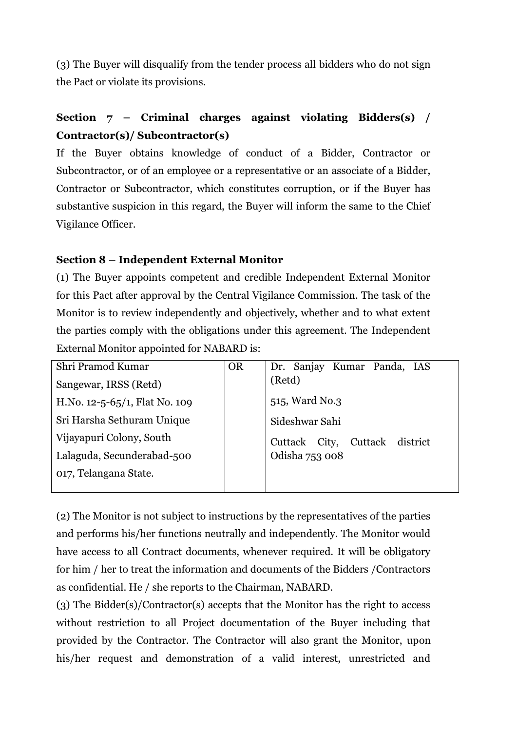(3) The Buyer will disqualify from the tender process all bidders who do not sign the Pact or violate its provisions.

## **Section 7 – Criminal charges against violating Bidders(s) / Contractor(s)/ Subcontractor(s)**

If the Buyer obtains knowledge of conduct of a Bidder, Contractor or Subcontractor, or of an employee or a representative or an associate of a Bidder, Contractor or Subcontractor, which constitutes corruption, or if the Buyer has substantive suspicion in this regard, the Buyer will inform the same to the Chief Vigilance Officer.

## **Section 8 – Independent External Monitor**

(1) The Buyer appoints competent and credible Independent External Monitor for this Pact after approval by the Central Vigilance Commission. The task of the Monitor is to review independently and objectively, whether and to what extent the parties comply with the obligations under this agreement. The Independent External Monitor appointed for NABARD is:

| Shri Pramod Kumar             | <b>OR</b> | Dr. Sanjay Kumar Panda, IAS       |
|-------------------------------|-----------|-----------------------------------|
| Sangewar, IRSS (Retd)         |           | (Retd)                            |
| H.No. 12-5-65/1, Flat No. 109 |           | 515, Ward No.3                    |
| Sri Harsha Sethuram Unique    |           | Sideshwar Sahi                    |
| Vijayapuri Colony, South      |           | Cuttack district<br>Cuttack City, |
| Lalaguda, Secunderabad-500    |           | Odisha 753 008                    |
| 017, Telangana State.         |           |                                   |
|                               |           |                                   |

(2) The Monitor is not subject to instructions by the representatives of the parties and performs his/her functions neutrally and independently. The Monitor would have access to all Contract documents, whenever required. It will be obligatory for him / her to treat the information and documents of the Bidders /Contractors as confidential. He / she reports to the Chairman, NABARD.

(3) The Bidder(s)/Contractor(s) accepts that the Monitor has the right to access without restriction to all Project documentation of the Buyer including that provided by the Contractor. The Contractor will also grant the Monitor, upon his/her request and demonstration of a valid interest, unrestricted and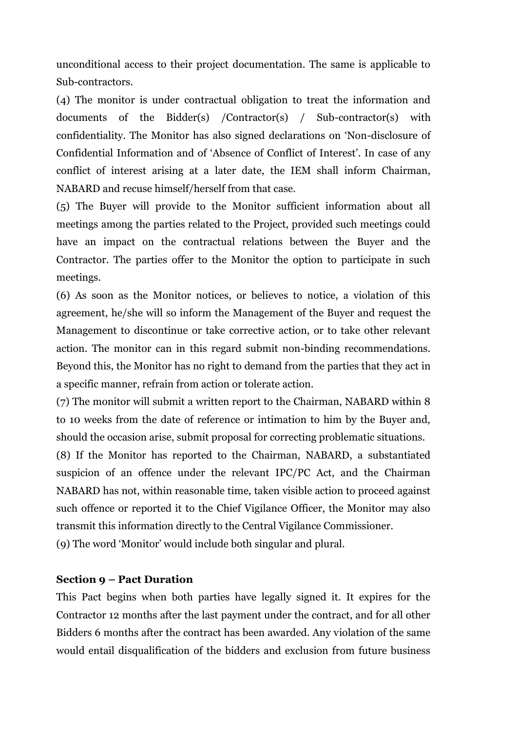unconditional access to their project documentation. The same is applicable to Sub-contractors.

(4) The monitor is under contractual obligation to treat the information and documents of the Bidder(s) /Contractor(s) / Sub-contractor(s) with confidentiality. The Monitor has also signed declarations on 'Non-disclosure of Confidential Information and of 'Absence of Conflict of Interest'. In case of any conflict of interest arising at a later date, the IEM shall inform Chairman, NABARD and recuse himself/herself from that case.

(5) The Buyer will provide to the Monitor sufficient information about all meetings among the parties related to the Project, provided such meetings could have an impact on the contractual relations between the Buyer and the Contractor. The parties offer to the Monitor the option to participate in such meetings.

(6) As soon as the Monitor notices, or believes to notice, a violation of this agreement, he/she will so inform the Management of the Buyer and request the Management to discontinue or take corrective action, or to take other relevant action. The monitor can in this regard submit non-binding recommendations. Beyond this, the Monitor has no right to demand from the parties that they act in a specific manner, refrain from action or tolerate action.

(7) The monitor will submit a written report to the Chairman, NABARD within 8 to 10 weeks from the date of reference or intimation to him by the Buyer and, should the occasion arise, submit proposal for correcting problematic situations.

(8) If the Monitor has reported to the Chairman, NABARD, a substantiated suspicion of an offence under the relevant IPC/PC Act, and the Chairman NABARD has not, within reasonable time, taken visible action to proceed against such offence or reported it to the Chief Vigilance Officer, the Monitor may also transmit this information directly to the Central Vigilance Commissioner.

(9) The word 'Monitor' would include both singular and plural.

#### **Section 9 – Pact Duration**

This Pact begins when both parties have legally signed it. It expires for the Contractor 12 months after the last payment under the contract, and for all other Bidders 6 months after the contract has been awarded. Any violation of the same would entail disqualification of the bidders and exclusion from future business